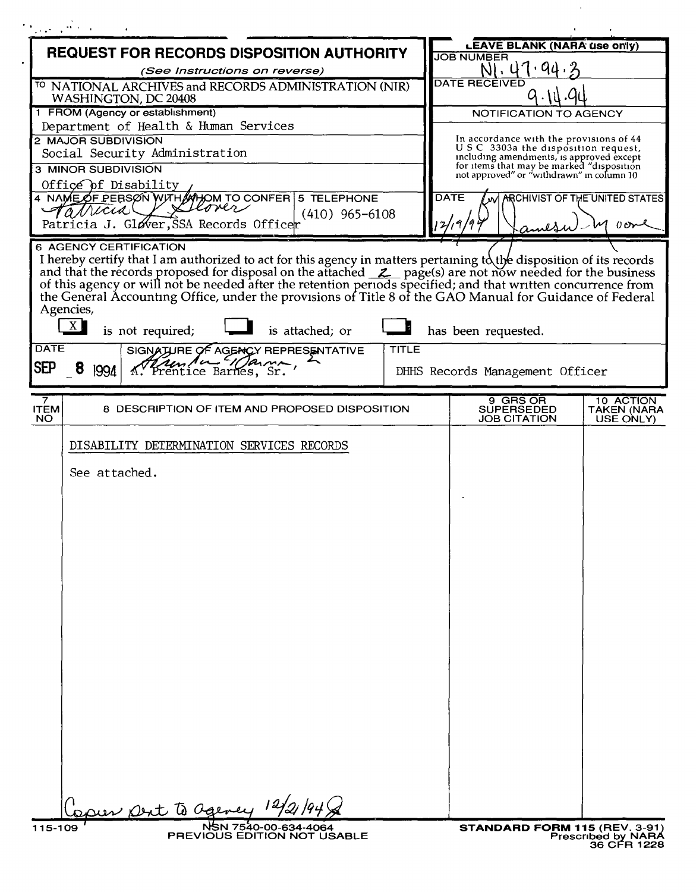| Magazine a                                                                                                                                                                                                                                                                                                                                                                                                                                                              |                                                                                       |
|-------------------------------------------------------------------------------------------------------------------------------------------------------------------------------------------------------------------------------------------------------------------------------------------------------------------------------------------------------------------------------------------------------------------------------------------------------------------------|---------------------------------------------------------------------------------------|
| <b>REQUEST FOR RECORDS DISPOSITION AUTHORITY</b>                                                                                                                                                                                                                                                                                                                                                                                                                        | <b>LEAVE BLANK (NARA use only)</b><br><b>JOB NUMBER</b>                               |
| (See Instructions on reverse)                                                                                                                                                                                                                                                                                                                                                                                                                                           | N1.47.94.                                                                             |
| <sup>TO</sup> NATIONAL ARCHIVES and RECORDS ADMINISTRATION (NIR)<br>WASHINGTON, DC 20408                                                                                                                                                                                                                                                                                                                                                                                | DATE REČËIVED                                                                         |
| 1 FROM (Agency or establishment)                                                                                                                                                                                                                                                                                                                                                                                                                                        | NOTIFICATION TO AGENCY                                                                |
| Department of Health & Human Services                                                                                                                                                                                                                                                                                                                                                                                                                                   |                                                                                       |
| 2 MAJOR SUBDIVISION<br>Social Security Administration                                                                                                                                                                                                                                                                                                                                                                                                                   | In accordance with the provisions of 44<br>USC 3303a the disposition request,         |
| 3 MINOR SUBDIVISION                                                                                                                                                                                                                                                                                                                                                                                                                                                     | including amendments, is approved except<br>for items that may be marked "disposition |
| Office of Disability                                                                                                                                                                                                                                                                                                                                                                                                                                                    | not approved" or "withdrawn" in column 10                                             |
| 4 NAME OF PERSON WITH MHOM TO CONFER 5 TELEPHONE<br>lover                                                                                                                                                                                                                                                                                                                                                                                                               | <b>DATE</b><br>ARCHIVIST OF THE UNITED STATES                                         |
| arricia<br>$(410)$ 965-6108<br>Patricia J. Gløver, SSA Records Officer                                                                                                                                                                                                                                                                                                                                                                                                  | 2/19/9<br>$\sigma$                                                                    |
| <b>6 AGENCY CERTIFICATION</b>                                                                                                                                                                                                                                                                                                                                                                                                                                           | west                                                                                  |
| I hereby certify that I am authorized to act for this agency in matters pertaining to the disposition of its records and that the records proposed for disposal on the attached $\mathcal{Z}_$ page(s) are not now needed for the bu<br>the General Accounting Office, under the provisions of Title 8 of the GAO Manual for Guidance of Federal<br>Agencies,<br>X<br>is not required;<br>is attached; or<br><b>DATE</b><br>TITLE<br>SIGNATURE OF AGENCY REPRESENTATIVE | has been requested.                                                                   |
| Rembrand Marma,<br><b>SEP</b><br>8<br>1994                                                                                                                                                                                                                                                                                                                                                                                                                              | DHHS Records Management Officer                                                       |
| 7.                                                                                                                                                                                                                                                                                                                                                                                                                                                                      | 9 GRS OR<br>10 ACTION                                                                 |
| 8 DESCRIPTION OF ITEM AND PROPOSED DISPOSITION<br><b>ITEM</b><br>NO.                                                                                                                                                                                                                                                                                                                                                                                                    | <b>SUPERSEDED</b><br><b>TAKEN (NARA</b><br><b>JOB CITATION</b><br>USE ONLY)           |
| DISABILITY DETERMINATION SERVICES RECORDS                                                                                                                                                                                                                                                                                                                                                                                                                               |                                                                                       |
| See attached.                                                                                                                                                                                                                                                                                                                                                                                                                                                           |                                                                                       |
|                                                                                                                                                                                                                                                                                                                                                                                                                                                                         |                                                                                       |
|                                                                                                                                                                                                                                                                                                                                                                                                                                                                         |                                                                                       |
|                                                                                                                                                                                                                                                                                                                                                                                                                                                                         |                                                                                       |
|                                                                                                                                                                                                                                                                                                                                                                                                                                                                         |                                                                                       |
|                                                                                                                                                                                                                                                                                                                                                                                                                                                                         |                                                                                       |
|                                                                                                                                                                                                                                                                                                                                                                                                                                                                         |                                                                                       |
|                                                                                                                                                                                                                                                                                                                                                                                                                                                                         |                                                                                       |
|                                                                                                                                                                                                                                                                                                                                                                                                                                                                         |                                                                                       |
|                                                                                                                                                                                                                                                                                                                                                                                                                                                                         |                                                                                       |
|                                                                                                                                                                                                                                                                                                                                                                                                                                                                         |                                                                                       |
|                                                                                                                                                                                                                                                                                                                                                                                                                                                                         |                                                                                       |
|                                                                                                                                                                                                                                                                                                                                                                                                                                                                         |                                                                                       |
|                                                                                                                                                                                                                                                                                                                                                                                                                                                                         |                                                                                       |
|                                                                                                                                                                                                                                                                                                                                                                                                                                                                         |                                                                                       |
|                                                                                                                                                                                                                                                                                                                                                                                                                                                                         |                                                                                       |
|                                                                                                                                                                                                                                                                                                                                                                                                                                                                         |                                                                                       |
|                                                                                                                                                                                                                                                                                                                                                                                                                                                                         |                                                                                       |
|                                                                                                                                                                                                                                                                                                                                                                                                                                                                         |                                                                                       |
| aur Dent to agency                                                                                                                                                                                                                                                                                                                                                                                                                                                      |                                                                                       |
| NSN 7540-00-634-4064<br>115-109<br>PREVIOUS EDITION NOT USABLE                                                                                                                                                                                                                                                                                                                                                                                                          | STANDARD FORM 115 (REV. 3-91)                                                         |
|                                                                                                                                                                                                                                                                                                                                                                                                                                                                         | <b>Prescribed by NARA</b><br>36 CFR 1228                                              |

 $\sim 10^{11}$  km s  $^{-1}$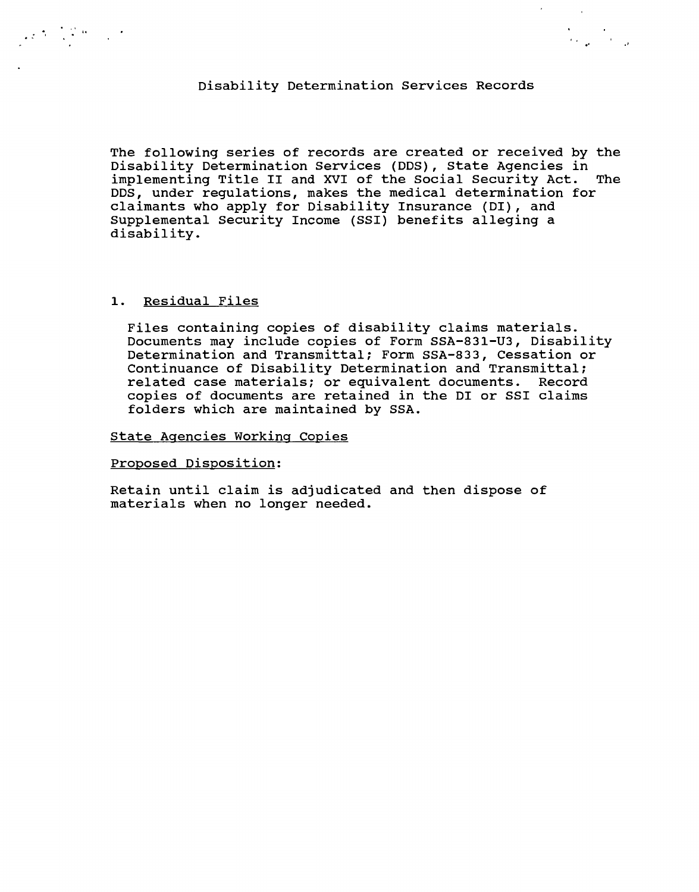### Disability Determination Services Records

**." .'**

 $\lambda_{\rm{max}}$  and  $\lambda_{\rm{max}}$ 

The following series of records are created or received by the Disability Determination Services (DDS), State Agencies in implementing Title II and XVI of the Social Security Act. The DDS, under regulations, makes the medical determination for claimants who apply for Disability Insurance (01), and Supplemental Security Income (SSI) benefits alleging a disability.

## 1. Residual Files

 $\label{eq:2} \frac{1}{2}\sum_{i=1}^n\frac{1}{2}\sum_{i=1}^n\frac{1}{2}\sum_{i=1}^n\frac{1}{2}\sum_{i=1}^n\frac{1}{2}\sum_{i=1}^n\frac{1}{2}\sum_{i=1}^n\frac{1}{2}\sum_{i=1}^n\frac{1}{2}\sum_{i=1}^n\frac{1}{2}\sum_{i=1}^n\frac{1}{2}\sum_{i=1}^n\frac{1}{2}\sum_{i=1}^n\frac{1}{2}\sum_{i=1}^n\frac{1}{2}\sum_{i=1}^n\frac{1}{2}\sum_{i=1}^n\frac{$ 

Files containing copies of disability claims materials. Documents may include copies of Form SSA-831-U3, Disability Determination and Transmittal; Form SSA-833, Cessation or Continuance of Disability Determination and Transmittal; related case materials; or equivalent documents. Record copies of documents are retained in the 01 or SSI claims folders which are maintained by SSA.

### state Agencies Working Copies

#### Proposed Disposition:

Retain until claim is adjudicated and then dispose of materials when no longer needed.